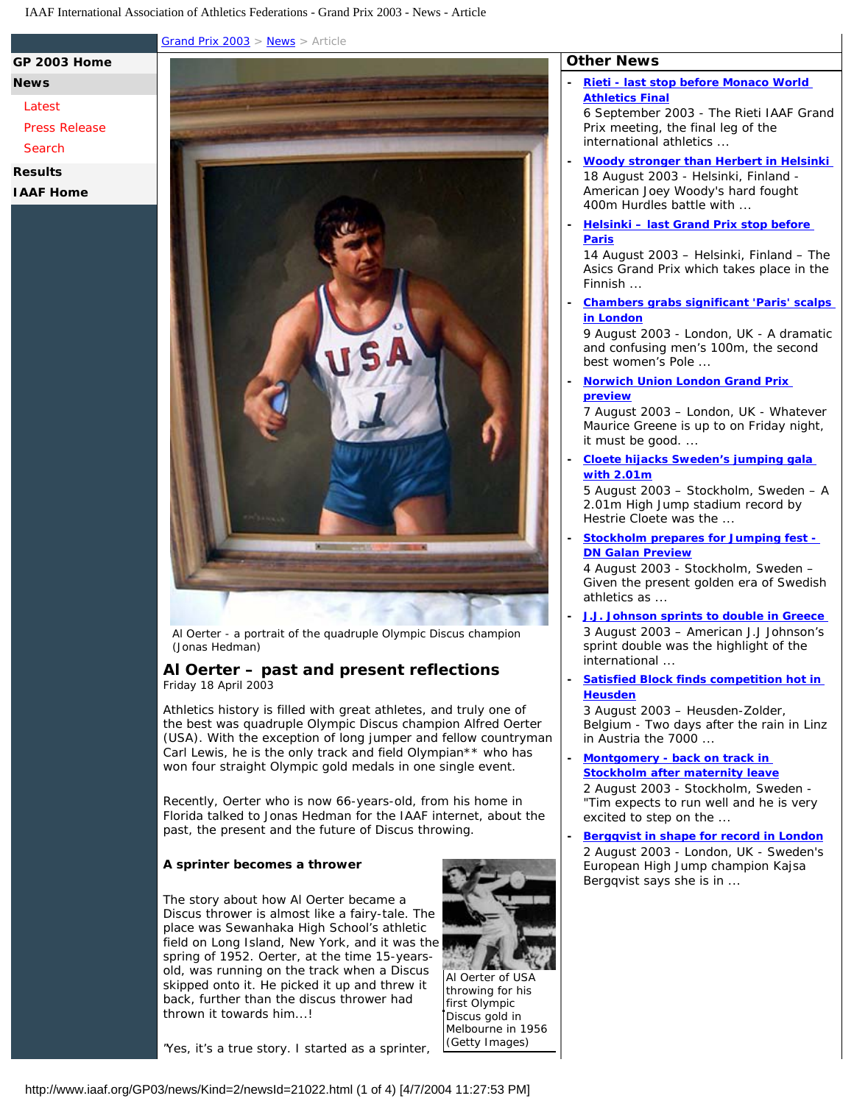[Grand Prix 2003](http://www.iaaf.org/GP03/index.html) > [News](http://www.iaaf.org/gp03/news/index.html) > Article

# **[News](http://www.iaaf.org/GP03/news/index.html)**

# **[Latest](http://www.iaaf.org/GP03/news/index.html)**

[Press Release](http://www.iaaf.org/GP03/news/kind=512/index.html)

**[GP 2003 Home](http://www.iaaf.org/GP03/index.html)**

[Search](http://www.iaaf.org/GP03/news/search.htmx)

### **[Results](http://www.iaaf.org/GP03/results/index.html)**

**[IAAF Home](http://www.iaaf.org/index.html)**



Al Oerter - a portrait of the quadruple Olympic Discus champion (Jonas Hedman)

## **Al Oerter – past and present reflections**  Friday 18 April 2003

Athletics history is filled with great athletes, and truly one of the best was quadruple Olympic Discus champion Alfred Oerter (USA). With the exception of long jumper and fellow countryman Carl Lewis, he is the only track and field Olympian\*\* who has won four straight Olympic gold medals in one single event.

Recently, Oerter who is now 66-years-old, from his home in Florida talked to *Jonas Hedman for the IAAF internet*, about the past, the present and the future of Discus throwing.

### **A sprinter becomes a thrower**

The story about how Al Oerter became a Discus thrower is almost like a fairy-tale. The place was Sewanhaka High School's athletic field on Long Island, New York, and it was the spring of 1952. Oerter, at the time 15-yearsold, was running on the track when a Discus skipped onto it. He picked it up and threw it back, further than the discus thrower had thrown it towards him...!

"Yes, it's a true story. I started as a sprinter,

Al Oerter of USA throwing for his first Olympic Discus gold in Melbourne in 1956 (Getty Images)

# **Other News**

**- [Rieti - last stop before Monaco World](http://www.iaaf.org/GP03/news/Kind=2/newsId=23121.html) [Athletics Final](http://www.iaaf.org/GP03/news/Kind=2/newsId=23121.html)**

6 September 2003 - The Rieti IAAF Grand Prix meeting, the final leg of the international athletics ...

- **[Woody stronger than Herbert in Helsinki](http://www.iaaf.org/GP03/news/Kind=2/newsId=22331.html)**  18 August 2003 - Helsinki, Finland - American Joey Woody's hard fought 400m Hurdles battle with ...
- **[Helsinki last Grand Prix stop before](http://www.iaaf.org/GP03/news/Kind=2/newsId=22283.html) [Paris](http://www.iaaf.org/GP03/news/Kind=2/newsId=22283.html)**

14 August 2003 – Helsinki, Finland – The Asics Grand Prix which takes place in the Finnish ...

**- [Chambers grabs significant 'Paris' scalps](http://www.iaaf.org/GP03/news/Kind=2/newsId=22233.html) [in London](http://www.iaaf.org/GP03/news/Kind=2/newsId=22233.html)**

9 August 2003 - London, UK - A dramatic and confusing men's 100m, the second best women's Pole ...

**- [Norwich Union London Grand Prix](http://www.iaaf.org/GP03/news/Kind=2/newsId=22213.html)  [preview](http://www.iaaf.org/GP03/news/Kind=2/newsId=22213.html)**

7 August 2003 – London, UK - Whatever Maurice Greene is up to on Friday night, it must be good. ...

**- [Cloete hijacks Sweden's jumping gala](http://www.iaaf.org/GP03/news/Kind=2/newsId=22196.html)  [with 2.01m](http://www.iaaf.org/GP03/news/Kind=2/newsId=22196.html)**

5 August 2003 – Stockholm, Sweden – A 2.01m High Jump stadium record by Hestrie Cloete was the ...

**- [Stockholm prepares for Jumping fest -](http://www.iaaf.org/GP03/news/Kind=2/newsId=22179.html)  [DN Galan Preview](http://www.iaaf.org/GP03/news/Kind=2/newsId=22179.html)**

4 August 2003 - Stockholm, Sweden – Given the present golden era of Swedish athletics as ...

**- [J.J. Johnson sprints to double in Greece](http://www.iaaf.org/GP03/news/Kind=2/newsId=22183.html)**  3 August 2003 – American J.J Johnson's sprint double was the highlight of the international ...

### **- [Satisfied Block finds competition hot in](http://www.iaaf.org/GP03/news/Kind=2/newsId=22177.html)  [Heusden](http://www.iaaf.org/GP03/news/Kind=2/newsId=22177.html)**

3 August 2003 – Heusden-Zolder, Belgium - Two days after the rain in Linz in Austria the 7000 ...

**- [Montgomery - back on track in](http://www.iaaf.org/GP03/news/Kind=2/newsId=22175.html)  [Stockholm after maternity leave](http://www.iaaf.org/GP03/news/Kind=2/newsId=22175.html)**

2 August 2003 - Stockholm, Sweden - "Tim expects to run well and he is very excited to step on the ...

**- [Bergqvist in shape for record in London](http://www.iaaf.org/GP03/news/Kind=2/newsId=22176.html)** 2 August 2003 - London, UK - Sweden's European High Jump champion Kajsa Bergqvist says she is in ...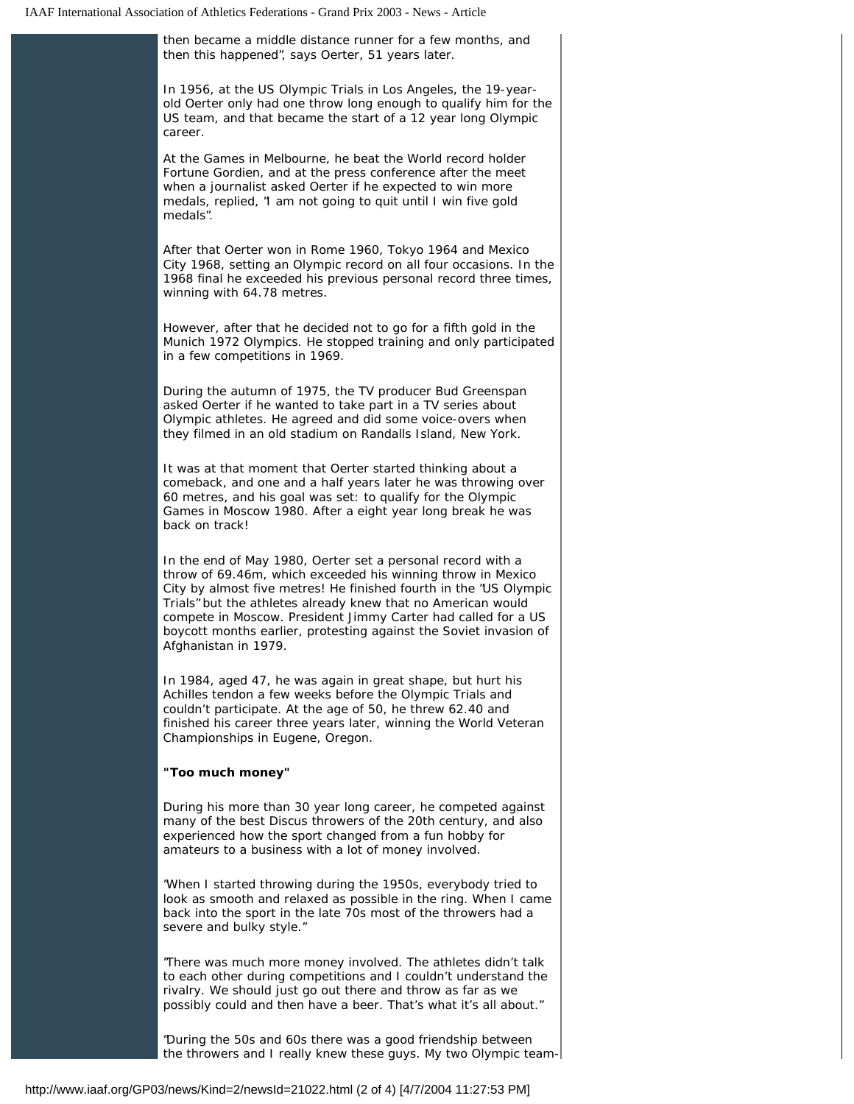then became a middle distance runner for a few months, and

then this happened", says Oerter, 51 years later. In 1956, at the US Olympic Trials in Los Angeles, the 19-yearold Oerter only had one throw long enough to qualify him for the US team, and that became the start of a 12 year long Olympic career. At the Games in Melbourne, he beat the World record holder Fortune Gordien, and at the press conference after the meet when a journalist asked Oerter if he expected to win more medals, replied, "I am not going to quit until I win five gold medals". After that Oerter won in Rome 1960, Tokyo 1964 and Mexico City 1968, setting an Olympic record on all four occasions. In the 1968 final he exceeded his previous personal record three times, winning with 64.78 metres. However, after that he decided not to go for a fifth gold in the Munich 1972 Olympics. He stopped training and only participated in a few competitions in 1969. During the autumn of 1975, the TV producer Bud Greenspan asked Oerter if he wanted to take part in a TV series about Olympic athletes. He agreed and did some voice-overs when they filmed in an old stadium on Randalls Island, New York. It was at that moment that Oerter started thinking about a comeback, and one and a half years later he was throwing over 60 metres, and his goal was set: to qualify for the Olympic Games in Moscow 1980. After a eight year long break he was back on track! In the end of May 1980, Oerter set a personal record with a throw of 69.46m, which exceeded his winning throw in Mexico City by almost five metres! He finished fourth in the "US Olympic Trials" but the athletes already knew that no American would compete in Moscow. President Jimmy Carter had called for a US boycott months earlier, protesting against the Soviet invasion of Afghanistan in 1979. In 1984, aged 47, he was again in great shape, but hurt his Achilles tendon a few weeks before the Olympic Trials and couldn't participate. At the age of 50, he threw 62.40 and finished his career three years later, winning the World Veteran Championships in Eugene, Oregon. **"Too much money"** During his more than 30 year long career, he competed against many of the best Discus throwers of the 20th century, and also experienced how the sport changed from a fun hobby for amateurs to a business with a lot of money involved. "When I started throwing during the 1950s, everybody tried to look as smooth and relaxed as possible in the ring. When I came back into the sport in the late 70s most of the throwers had a severe and bulky style." "There was much more money involved. The athletes didn't talk to each other during competitions and I couldn't understand the rivalry. We should just go out there and throw as far as we possibly could and then have a beer. That's what it's all about."

> "During the 50s and 60s there was a good friendship between the throwers and I really knew these guys. My two Olympic team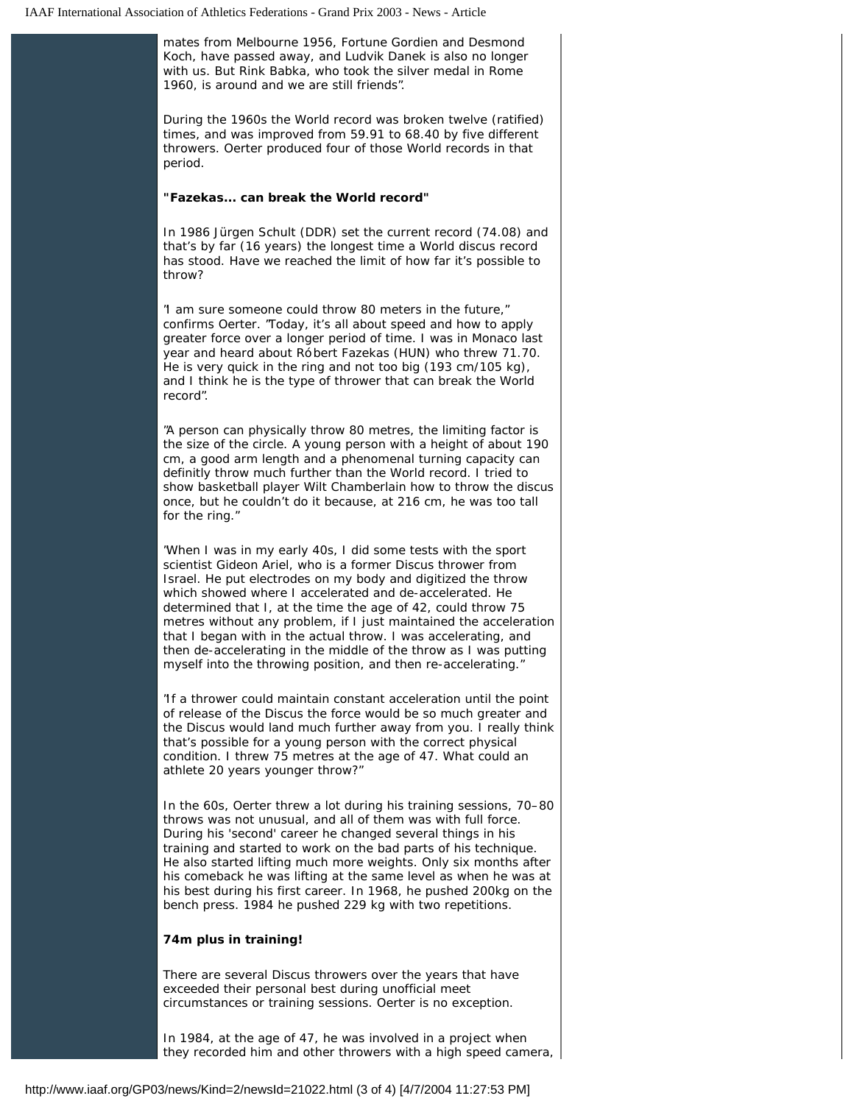mates from Melbourne 1956, Fortune Gordien and Desmond Koch, have passed away, and Ludvik Danek is also no longer with us. But Rink Babka, who took the silver medal in Rome 1960, is around and we are still friends".

During the 1960s the World record was broken twelve (ratified) times, and was improved from 59.91 to 68.40 by five different throwers. Oerter produced four of those World records in that period.

### **"Fazekas... can break the World record"**

In 1986 Jürgen Schult (DDR) set the current record (74.08) and that's by far (16 years) the longest time a World discus record has stood. Have we reached the limit of how far it's possible to throw?

"I am sure someone could throw 80 meters in the future," confirms Oerter. "Today, it's all about speed and how to apply greater force over a longer period of time. I was in Monaco last year and heard about Róbert Fazekas (HUN) who threw 71.70. He is very quick in the ring and not too big (193 cm/105 kg), and I think he is the type of thrower that can break the World record".

"A person can physically throw 80 metres, the limiting factor is the size of the circle. A young person with a height of about 190 cm, a good arm length and a phenomenal turning capacity can definitly throw much further than the World record. I tried to show basketball player Wilt Chamberlain how to throw the discus once, but he couldn't do it because, at 216 cm, he was too tall for the ring."

"When I was in my early 40s, I did some tests with the sport scientist Gideon Ariel, who is a former Discus thrower from Israel. He put electrodes on my body and digitized the throw which showed where I accelerated and de-accelerated. He determined that I, at the time the age of 42, could throw 75 metres without any problem, if I just maintained the acceleration that I began with in the actual throw. I was accelerating, and then de-accelerating in the middle of the throw as I was putting myself into the throwing position, and then re-accelerating."

"If a thrower could maintain constant acceleration until the point of release of the Discus the force would be so much greater and the Discus would land much further away from you. I really think that's possible for a young person with the correct physical condition. I threw 75 metres at the age of 47. What could an athlete 20 years younger throw?"

In the 60s, Oerter threw a lot during his training sessions, 70–80 throws was not unusual, and all of them was with full force. During his 'second' career he changed several things in his training and started to work on the bad parts of his technique. He also started lifting much more weights. Only six months after his comeback he was lifting at the same level as when he was at his best during his first career. In 1968, he pushed 200kg on the bench press. 1984 he pushed 229 kg with two repetitions.

### **74m plus in training!**

There are several Discus throwers over the years that have exceeded their personal best during unofficial meet circumstances or training sessions. Oerter is no exception.

In 1984, at the age of 47, he was involved in a project when they recorded him and other throwers with a high speed camera,